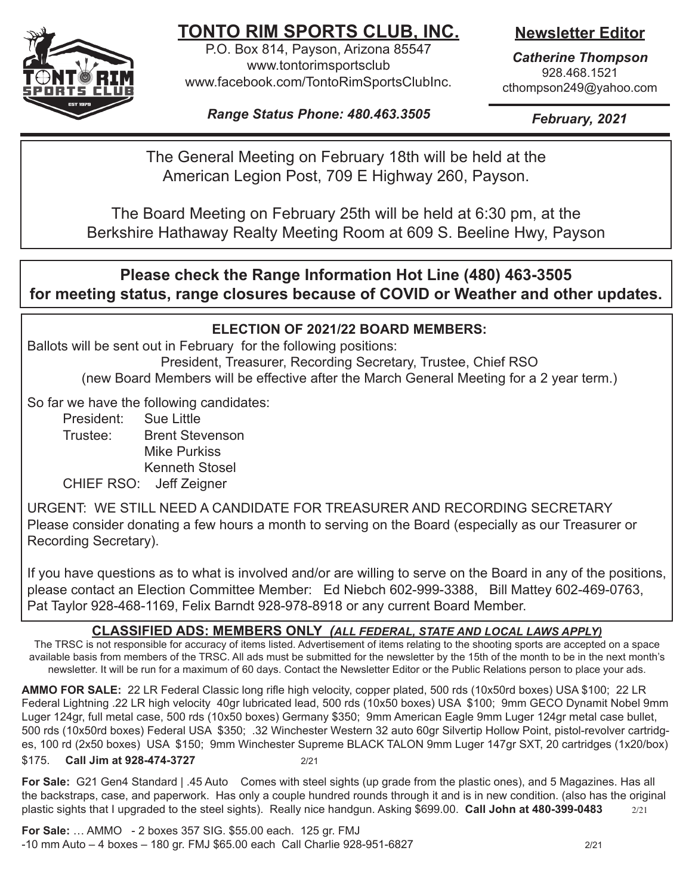

# **TONTO RIM SPORTS CLUB, INC.**

P.O. Box 814, Payson, Arizona 85547 www.tontorimsportsclub www.facebook.com/TontoRimSportsClubInc. **Newsletter Editor**

*Catherine Thompson* 928.468.1521 cthompson249@yahoo.com

*Range Status Phone: 480.463.3505*

*February, 2021*

The General Meeting on February 18th will be held at the American Legion Post, 709 E Highway 260, Payson.

The Board Meeting on February 25th will be held at 6:30 pm, at the Berkshire Hathaway Realty Meeting Room at 609 S. Beeline Hwy, Payson

## **Please check the Range Information Hot Line (480) 463-3505 for meeting status, range closures because of COVID or Weather and other updates.**

### **ELECTION OF 2021/22 BOARD MEMBERS:**

Ballots will be sent out in February for the following positions:

President, Treasurer, Recording Secretary, Trustee, Chief RSO (new Board Members will be effective after the March General Meeting for a 2 year term.)

So far we have the following candidates:

President: Sue Little Trustee: Brent Stevenson Mike Purkiss Kenneth Stosel CHIEF RSO: Jeff Zeigner

URGENT: WE STILL NEED A CANDIDATE FOR TREASURER AND RECORDING SECRETARY Please consider donating a few hours a month to serving on the Board (especially as our Treasurer or Recording Secretary).

If you have questions as to what is involved and/or are willing to serve on the Board in any of the positions, please contact an Election Committee Member: Ed Niebch 602-999-3388, Bill Mattey 602-469-0763, Pat Taylor 928-468-1169, Felix Barndt 928-978-8918 or any current Board Member.

### **CLASSIFIED ADS: MEMBERS ONLY** *(ALL FEDERAL, STATE AND LOCAL LAWS APPLY)*

The TRSC is not responsible for accuracy of items listed. Advertisement of items relating to the shooting sports are accepted on a space available basis from members of the TRSC. All ads must be submitted for the newsletter by the 15th of the month to be in the next month's newsletter. It will be run for a maximum of 60 days. Contact the Newsletter Editor or the Public Relations person to place your ads.

**AMMO FOR SALE:** 22 LR Federal Classic long rifle high velocity, copper plated, 500 rds (10x50rd boxes) USA \$100; 22 LR Federal Lightning .22 LR high velocity 40gr lubricated lead, 500 rds (10x50 boxes) USA \$100; 9mm GECO Dynamit Nobel 9mm Luger 124gr, full metal case, 500 rds (10x50 boxes) Germany \$350; 9mm American Eagle 9mm Luger 124gr metal case bullet, 500 rds (10x50rd boxes) Federal USA \$350; .32 Winchester Western 32 auto 60gr Silvertip Hollow Point, pistol-revolver cartridges, 100 rd (2x50 boxes) USA \$150; 9mm Winchester Supreme BLACK TALON 9mm Luger 147gr SXT, 20 cartridges (1x20/box) \$175. **Call Jim at 928-474-3727** 2/21

**For Sale:** G21 Gen4 Standard | .45 Auto Comes with steel sights (up grade from the plastic ones), and 5 Magazines. Has all the backstraps, case, and paperwork. Has only a couple hundred rounds through it and is in new condition. (also has the original plastic sights that I upgraded to the steel sights). Really nice handgun. Asking \$699.00. **Call John at 480-399-0483** 2/21

**For Sale:** … AMMO - 2 boxes 357 SIG. \$55.00 each. 125 gr. FMJ -10 mm Auto – 4 boxes – 180 gr. FMJ \$65.00 each Call Charlie 928-951-6827 2/21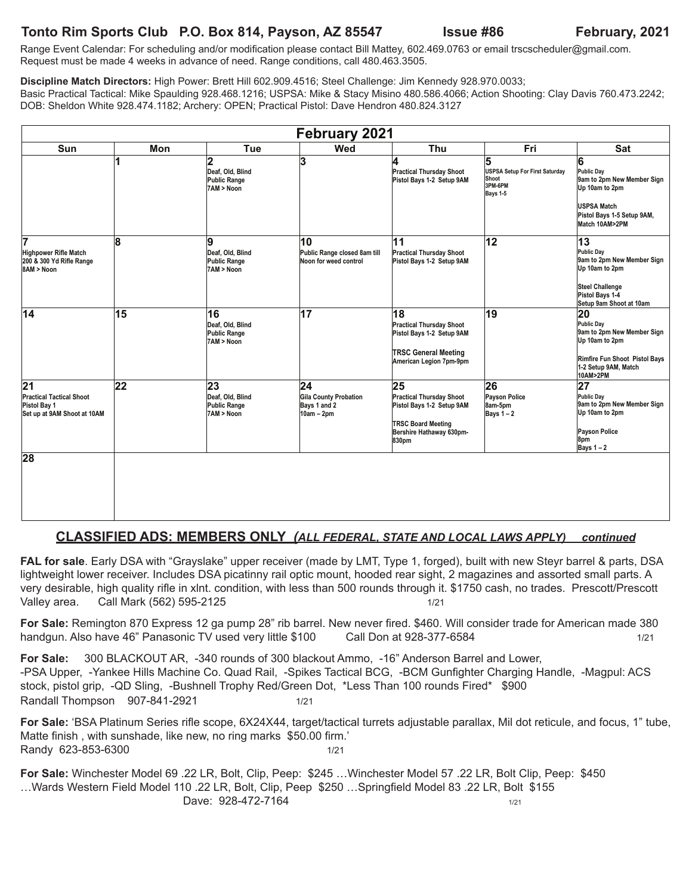#### **Tonto Rim Sports Club P.O. Box 814, Payson, AZ 85547 Issue #86 February, 2021**

Range Event Calendar: For scheduling and/or modification please contact Bill Mattey, 602.469.0763 or email trscscheduler@gmail.com. Request must be made 4 weeks in advance of need. Range conditions, call 480.463.3505.

**Discipline Match Directors:** High Power: Brett Hill 602.909.4516; Steel Challenge: Jim Kennedy 928.970.0033; Basic Practical Tactical: Mike Spaulding 928.468.1216; USPSA: Mike & Stacy Misino 480.586.4066; Action Shooting: Clay Davis 760.473.2242; DOB: Sheldon White 928.474.1182; Archery: OPEN; Practical Pistol: Dave Hendron 480.824.3127

| February 2021                                                                                     |                 |                                                            |                                                                                 |                                                                                                                                      |                                                                     |                                                                                                                                                       |  |  |
|---------------------------------------------------------------------------------------------------|-----------------|------------------------------------------------------------|---------------------------------------------------------------------------------|--------------------------------------------------------------------------------------------------------------------------------------|---------------------------------------------------------------------|-------------------------------------------------------------------------------------------------------------------------------------------------------|--|--|
| Sun                                                                                               | Mon             | Tue                                                        | Wed                                                                             | Thu                                                                                                                                  | Fri                                                                 | Sat                                                                                                                                                   |  |  |
|                                                                                                   | 1               | 2<br>Deaf, Old, Blind<br><b>Public Range</b><br>7AM > Noon | 3                                                                               | ı.<br><b>Practical Thursday Shoot</b><br>Pistol Bays 1-2 Setup 9AM                                                                   | 5<br>USPSA Setup For First Saturday<br>Shoot<br>3PM-6PM<br>Bays 1-5 | 6<br>Public Day<br>9am to 2pm New Member Sign<br>Up 10am to 2pm<br>USPSA Match<br>Pistol Bays 1-5 Setup 9AM,<br>Match 10AM>2PM                        |  |  |
| 17<br>Highpower Rifle Match<br>200 & 300 Yd Rifle Range<br>8AM > Noon                             | 8               | 9<br>Deaf, Old, Blind<br>Public Range<br>7AM > Noon        | 10<br>Public Range closed 8am till<br>Noon for weed control                     | 11<br><b>Practical Thursday Shoot</b><br>Pistol Bays 1-2 Setup 9AM                                                                   | $\overline{12}$                                                     | $\overline{13}$<br>Public Dav<br>9am to 2pm New Member Sign<br>Up 10am to 2pm<br><b>Steel Challenge</b><br>Pistol Bays 1-4<br>Setup 9am Shoot at 10am |  |  |
| 14                                                                                                | 15              | 16<br>Deaf, Old, Blind<br>Public Range<br>7AM > Noon       | 17                                                                              | 18<br><b>Practical Thursday Shoot</b><br>Pistol Bays 1-2 Setup 9AM<br><b>TRSC General Meeting</b><br>American Legion 7pm-9pm         | 19                                                                  | 20<br>Public Day<br>9am to 2pm New Member Sign<br>Up 10am to 2pm<br>Rimfire Fun Shoot Pistol Bays<br>1-2 Setup 9AM, Match<br>10AM>2PM                 |  |  |
| $\overline{21}$<br><b>Practical Tactical Shoot</b><br>Pistol Bay 1<br>Set up at 9AM Shoot at 10AM | $\overline{22}$ | 23<br>Deaf, Old, Blind<br>Public Range<br>7AM > Noon       | $\overline{24}$<br><b>Gila County Probation</b><br>Bays 1 and 2<br>$10am - 2pm$ | 25<br><b>Practical Thursday Shoot</b><br>Pistol Bays 1-2 Setup 9AM<br><b>TRSC Board Meeting</b><br>Bershire Hathaway 630pm-<br>830pm | 26<br>Payson Police<br>8am-5pm<br>Bays $1 - 2$                      | $\overline{27}$<br>Public Day<br>9am to 2pm New Member Sign<br>Up 10am to 2pm<br>Payson Police<br>8pm<br>Bays $1 - 2$                                 |  |  |
| 28                                                                                                |                 |                                                            |                                                                                 |                                                                                                                                      |                                                                     |                                                                                                                                                       |  |  |

#### **CLASSIFIED ADS: MEMBERS ONLY** *(ALL FEDERAL, STATE AND LOCAL LAWS APPLY) continued*

**FAL for sale**. Early DSA with "Grayslake" upper receiver (made by LMT, Type 1, forged), built with new Steyr barrel & parts, DSA lightweight lower receiver. Includes DSA picatinny rail optic mount, hooded rear sight, 2 magazines and assorted small parts. A very desirable, high quality rifle in xlnt. condition, with less than 500 rounds through it. \$1750 cash, no trades. Prescott/Prescott Valley area. Call Mark (562) 595-2125 1/21

**For Sale:** Remington 870 Express 12 ga pump 28" rib barrel. New never fired. \$460. Will consider trade for American made 380 handgun. Also have 46" Panasonic TV used very little \$100 Call Don at 928-377-6584 1/21

**For Sale:** 300 BLACKOUT AR, -340 rounds of 300 blackout Ammo, -16" Anderson Barrel and Lower, -PSA Upper, -Yankee Hills Machine Co. Quad Rail, -Spikes Tactical BCG, -BCM Gunfighter Charging Handle, -Magpul: ACS stock, pistol grip, -QD Sling, -Bushnell Trophy Red/Green Dot, \*Less Than 100 rounds Fired\* \$900 Randall Thompson 907-841-2921 1/21

**For Sale:** 'BSA Platinum Series rifle scope, 6X24X44, target/tactical turrets adjustable parallax, Mil dot reticule, and focus, 1" tube, Matte finish , with sunshade, like new, no ring marks \$50.00 firm.' Randy 623-853-6300 1/21

**For Sale:** Winchester Model 69 .22 LR, Bolt, Clip, Peep: \$245 …Winchester Model 57 .22 LR, Bolt Clip, Peep: \$450 …Wards Western Field Model 110 .22 LR, Bolt, Clip, Peep \$250 …Springfield Model 83 .22 LR, Bolt \$155 Dave: 928-472-7164 1/21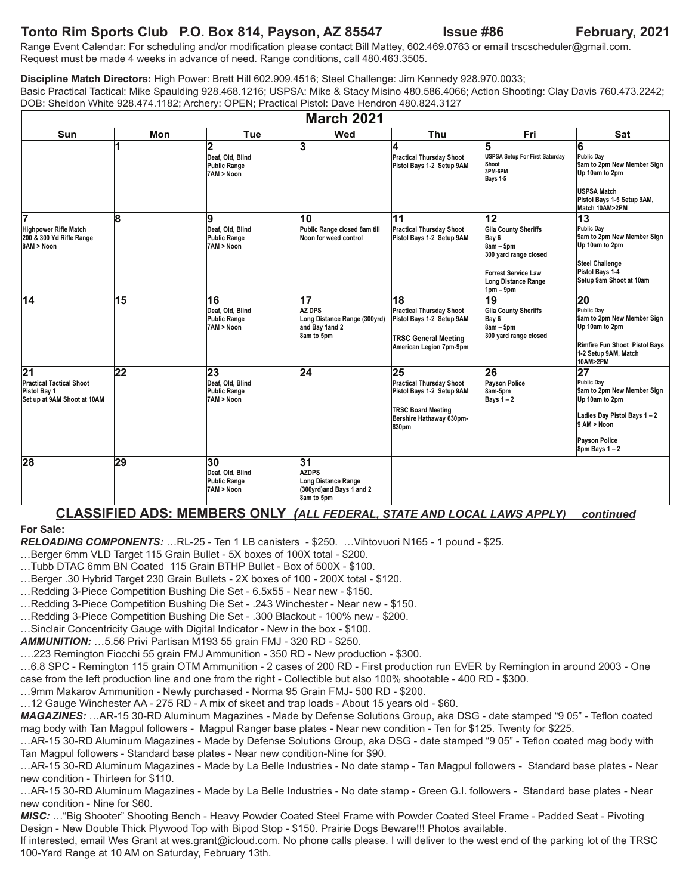### **Tonto Rim Sports Club P.O. Box 814, Payson, AZ 85547 Issue #86 February, 2021**

Range Event Calendar: For scheduling and/or modification please contact Bill Mattey, 602.469.0763 or email trscscheduler@gmail.com. Request must be made 4 weeks in advance of need. Range conditions, call 480.463.3505.

**Discipline Match Directors:** High Power: Brett Hill 602.909.4516; Steel Challenge: Jim Kennedy 928.970.0033; Basic Practical Tactical: Mike Spaulding 928.468.1216; USPSA: Mike & Stacy Misino 480.586.4066; Action Shooting: Clay Davis 760.473.2242; DOB: Sheldon White 928.474.1182; Archery: OPEN; Practical Pistol: Dave Hendron 480.824.3127

| <b>March 2021</b>                                                                    |     |                                                                         |                                                                                                  |                                                                                                                                      |                                                                                                                                        |                                                                                                                                                                               |  |
|--------------------------------------------------------------------------------------|-----|-------------------------------------------------------------------------|--------------------------------------------------------------------------------------------------|--------------------------------------------------------------------------------------------------------------------------------------|----------------------------------------------------------------------------------------------------------------------------------------|-------------------------------------------------------------------------------------------------------------------------------------------------------------------------------|--|
| <b>Sun</b>                                                                           | Mon | Tue                                                                     | Wed                                                                                              | Thu                                                                                                                                  | Fri                                                                                                                                    | <b>Sat</b>                                                                                                                                                                    |  |
|                                                                                      |     | $\overline{2}$<br>Deaf, Old, Blind<br><b>Public Range</b><br>7AM > Noon | 3                                                                                                | 4<br><b>Practical Thursday Shoot</b><br>Pistol Bays 1-2 Setup 9AM                                                                    | 5<br>USPSA Setup For First Saturday<br>Shoot<br>3PM-6PM<br>Bays 1-5                                                                    | 6<br>Public Dav<br>9am to 2pm New Member Sign<br>Up 10am to 2pm<br><b>USPSA Match</b><br>Pistol Bays 1-5 Setup 9AM,<br>Match 10AM>2PM                                         |  |
| 17<br>Highpower Rifle Match<br>200 & 300 Yd Rifle Range<br>8AM > Noon                | 8   | 9<br>Deaf. Old. Blind<br><b>Public Range</b><br>7AM > Noon              | 10<br>Public Range closed 8am till<br>Noon for weed control                                      | 11<br><b>Practical Thursday Shoot</b><br>Pistol Bays 1-2 Setup 9AM                                                                   | 12<br>Gila County Sheriffs<br>Bay 6<br>8am - 5pm<br>300 yard range closed<br>Forrest Service Law<br>Long Distance Range<br>$1pm - 9pm$ | 13<br>Public Day<br>9am to 2pm New Member Sign<br>Up 10am to 2pm<br><b>Steel Challenge</b><br>Pistol Bays 1-4<br>Setup 9am Shoot at 10am                                      |  |
| 14                                                                                   | 15  | 16<br>Deaf, Old, Blind<br><b>Public Range</b><br>7AM > Noon             | $\overline{17}$<br><b>AZ DPS</b><br>Long Distance Range (300yrd)<br>and Bay 1and 2<br>8am to 5pm | 18<br><b>Practical Thursday Shoot</b><br>Pistol Bays 1-2 Setup 9AM<br><b>TRSC General Meeting</b><br>American Legion 7pm-9pm         | 19<br>Gila County Sheriffs<br>Bay 6<br>$8am - 5pm$<br>300 yard range closed                                                            | 20<br>Public Day<br>9am to 2pm New Member Sign<br>Up 10am to 2pm<br>Rimfire Fun Shoot Pistol Bays<br>1-2 Setup 9AM, Match<br>10AM>2PM                                         |  |
| 21<br><b>Practical Tactical Shoot</b><br>Pistol Bay 1<br>Set up at 9AM Shoot at 10AM | 22  | 23<br>Deaf, Old, Blind<br><b>Public Range</b><br>7AM > Noon             | 24                                                                                               | 25<br><b>Practical Thursday Shoot</b><br>Pistol Bays 1-2 Setup 9AM<br><b>TRSC Board Meeting</b><br>Bershire Hathaway 630pm-<br>830pm | 26<br>Payson Police<br>8am-5pm<br>Bays $1 - 2$                                                                                         | $\overline{27}$<br><b>Public Dav</b><br>9am to 2pm New Member Sign<br>Up 10am to 2pm<br>Ladies Day Pistol Bays 1-2<br>9 AM > Noon<br><b>Payson Police</b><br>$8pm$ Bays 1 - 2 |  |
| 28                                                                                   | 29  | 30<br>Deaf, Old, Blind<br><b>Public Range</b><br>7AM > Noon             | 31<br><b>AZDPS</b><br>Long Distance Range<br>(300yrd)and Bays 1 and 2<br>8am to 5pm              |                                                                                                                                      |                                                                                                                                        |                                                                                                                                                                               |  |

#### **CLASSIFIED ADS: MEMBERS ONLY** *(ALL FEDERAL, STATE AND LOCAL LAWS APPLY) continued*

#### **For Sale:**

*RELOADING COMPONENTS:* …RL-25 - Ten 1 LB canisters - \$250. …Vihtovuori N165 - 1 pound - \$25.

…Berger 6mm VLD Target 115 Grain Bullet - 5X boxes of 100X total - \$200.

…Tubb DTAC 6mm BN Coated 115 Grain BTHP Bullet - Box of 500X - \$100.

…Berger .30 Hybrid Target 230 Grain Bullets - 2X boxes of 100 - 200X total - \$120.

…Redding 3-Piece Competition Bushing Die Set - 6.5x55 - Near new - \$150.

…Redding 3-Piece Competition Bushing Die Set - .243 Winchester - Near new - \$150.

…Redding 3-Piece Competition Bushing Die Set - .300 Blackout - 100% new - \$200.

…Sinclair Concentricity Gauge with Digital Indicator - New in the box - \$100.

*AMMUNITION:* …5.56 Privi Partisan M193 55 grain FMJ - 320 RD - \$250.

….223 Remington Fiocchi 55 grain FMJ Ammunition - 350 RD - New production - \$300.

…6.8 SPC - Remington 115 grain OTM Ammunition - 2 cases of 200 RD - First production run EVER by Remington in around 2003 - One case from the left production line and one from the right - Collectible but also 100% shootable - 400 RD - \$300.

…9mm Makarov Ammunition - Newly purchased - Norma 95 Grain FMJ- 500 RD - \$200.

…12 Gauge Winchester AA - 275 RD - A mix of skeet and trap loads - About 15 years old - \$60.

*MAGAZINES:* …AR-15 30-RD Aluminum Magazines - Made by Defense Solutions Group, aka DSG - date stamped "9 05" - Teflon coated mag body with Tan Magpul followers - Magpul Ranger base plates - Near new condition - Ten for \$125. Twenty for \$225.

…AR-15 30-RD Aluminum Magazines - Made by Defense Solutions Group, aka DSG - date stamped "9 05" - Teflon coated mag body with Tan Magpul followers - Standard base plates - Near new condition-Nine for \$90.

…AR-15 30-RD Aluminum Magazines - Made by La Belle Industries - No date stamp - Tan Magpul followers - Standard base plates - Near new condition - Thirteen for \$110.

…AR-15 30-RD Aluminum Magazines - Made by La Belle Industries - No date stamp - Green G.I. followers - Standard base plates - Near new condition - Nine for \$60.

*MISC:* …"Big Shooter" Shooting Bench - Heavy Powder Coated Steel Frame with Powder Coated Steel Frame - Padded Seat - Pivoting Design - New Double Thick Plywood Top with Bipod Stop - \$150. Prairie Dogs Beware!!! Photos available.

If interested, email Wes Grant at wes.grant@icloud.com. No phone calls please. I will deliver to the west end of the parking lot of the TRSC 100-Yard Range at 10 AM on Saturday, February 13th.